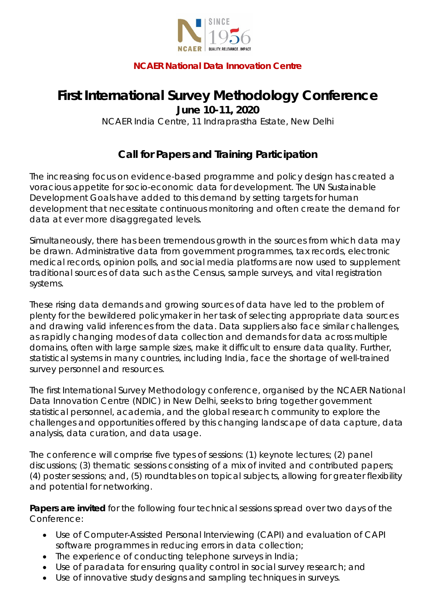

### **NCAER National Data Innovation Centre**

## **First International Survey Methodology Conference**

**June 10-11, 2020**

NCAER India Centre, 11 Indraprastha Estate, New Delhi

### **Call for Papers and Training Participation**

The increasing focus on evidence-based programme and policy design has created a voracious appetite for socio-economic data for development. The UN Sustainable Development Goals have added to this demand by setting targets for human development that necessitate continuous monitoring and often create the demand for data at ever more disaggregated levels.

Simultaneously, there has been tremendous growth in the sources from which data may be drawn. Administrative data from government programmes, tax records, electronic medical records, opinion polls, and social media platforms are now used to supplement traditional sources of data such as the Census, sample surveys, and vital registration systems.

These rising data demands and growing sources of data have led to the problem of plenty for the bewildered policymaker in her task of selecting appropriate data sources and drawing valid inferences from the data. Data suppliers also face similar challenges, as rapidly changing modes of data collection and demands for data across multiple domains, often with large sample sizes, make it difficult to ensure data quality. Further, statistical systems in many countries, including India, face the shortage of well-trained survey personnel and resources.

The first International Survey Methodology conference, organised by the NCAER National Data Innovation Centre (NDIC) in New Delhi, seeks to bring together government statistical personnel, academia, and the global research community to explore the challenges and opportunities offered by this changing landscape of data capture, data analysis, data curation, and data usage.

The conference will comprise five types of sessions: (1) keynote lectures; (2) panel discussions; (3) thematic sessions consisting of a mix of invited and contributed papers; (4) poster sessions; and, (5) roundtables on topical subjects, allowing for greater flexibility and potential for networking.

**Papers are invited** for the following four technical sessions spread over two days of the Conference:

- Use of Computer-Assisted Personal Interviewing (CAPI) and evaluation of CAPI software programmes in reducing errors in data collection;
- The experience of conducting telephone surveys in India;
- Use of paradata for ensuring quality control in social survey research; and
- Use of innovative study designs and sampling techniques in surveys.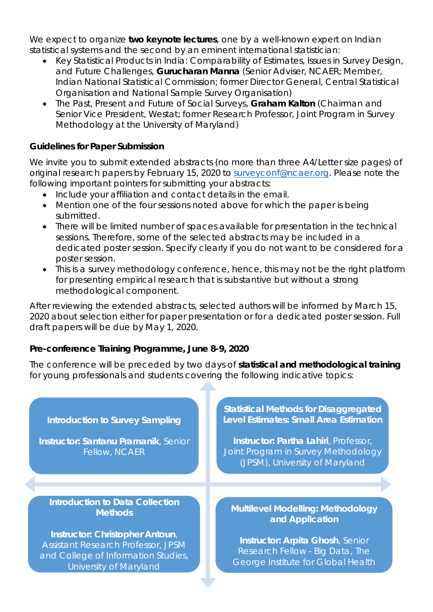We expect to organize **two keynote lectures**, one by a well-known expert on Indian statistical systems and the second by an eminent international statistician:

- Key Statistical Products in India: Comparability of Estimates, Issues in Survey Design, and Future Challenges, **Gurucharan Manna** (*Senior Adviser, NCAER; Member, Indian National Statistical Commission; former Director General, Central Statistical Organisation and National Sample Survey Organisation)*
- The Past, Present and Future of Social Surveys, **Graham Kalton** (*Chairman and Senior Vice President, Westat; former Research Professor, Joint Program in Survey Methodology at the University of Maryland)*

### **Guidelines for Paper Submission**

We invite you to submit extended abstracts (no more than three A4/Letter size pages) of original research papers by February 15, 2020 to surveyconf@ncaer.org. Please note the following important pointers for submitting your abstracts:

- Include your affiliation and contact details in the email.
- Mention one of the four sessions noted above for which the paper is being submitted.
- There will be limited number of spaces available for presentation in the technical sessions. Therefore, some of the selected abstracts may be included in a dedicated poster session. Specify clearly if you do not want to be considered for a poster session.
- This is a survey methodology conference, hence, this may not be the right platform for presenting empirical research that is substantive but without a strong methodological component.

After reviewing the extended abstracts, selected authors will be informed by March 15, 2020 about selection either for paper presentation or for a dedicated poster session. Full draft papers will be due by May 1, 2020.

#### **Pre-conference Training Programme, June 8-9, 2020**

The conference will be preceded by two days of **statistical and methodological training**  for young professionals and students covering the following indicative topics:

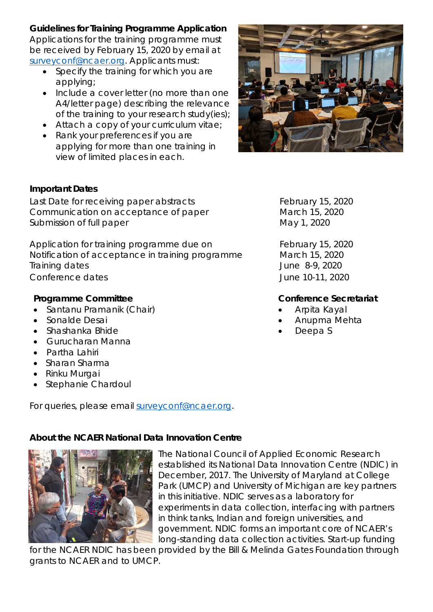### **Guidelines for Training Programme Application**

Applications for the training programme must be received by February 15, 2020 by email at su[rveyconf@ncaer.org. Ap](mailto:SurveyConf@ncaer.org)plicants must:

- Specify the training for which you are applying;
- Include a cover letter (no more than one A4/letter page) describing the relevance of the training to your research study(ies);
- Attach a copy of your curriculum vitae;
- Rank your preferences if you are applying for more than one training in view of limited places in each.

### **Important Dates**

Last Date for receiving paper abstracts February 15, 2020 Communication on acceptance of paper March 15, 2020 Submission of full paper May 1, 2020

Application for training programme due on February 15, 2020 Notification of acceptance in training programme March 15, 2020 Training dates June 8-9, 2020 Conference dates June 10-11, 2020

### **Programme Committee Conference Secretariat**

- Santanu Pramanik (Chair) Arpita Kayal
- 
- Shashanka Bhide Deepa S
- Gurucharan Manna
- Partha Lahiri
- Sharan Sharma
- Rinku Murgai
- Stephanie Chardoul

For queries, please email surveyconf@ncaer.org.

### **About the NCAER National Data Innovation Centre**



The National Council of Applied Economic Research established its National Data Innovation Centre (NDIC) in December, 2017. The University of Maryland at College Park (UMCP) and University of Michigan are key partners in this initiative. NDIC serves as a laboratory for experiments in data collection, interfacing with partners in think tanks, Indian and foreign universities, and government. NDIC forms an important core of NCAER's long-standing data collection activities. Start-up funding

for the NCAER NDIC has been provided by the Bill & Melinda Gates Foundation through grants to NCAER and to UMCP.



- 
- Sonalde Desai Anupma Mehta
	-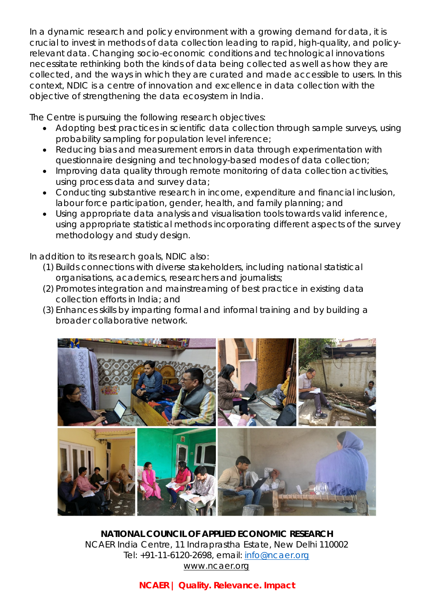In a dynamic research and policy environment with a growing demand for data, it is crucial to invest in methods of data collection leading to rapid, high-quality, and policyrelevant data. Changing socio-economic conditions and technological innovations necessitate rethinking both the kinds of data being collected as well as how they are collected, and the ways in which they are curated and made accessible to users. In this context, NDIC is a centre of innovation and excellence in data collection with the objective of strengthening the data ecosystem in India.

The Centre is pursuing the following research objectives:

- Adopting best practices in scientific data collection through sample surveys, using probability sampling for population level inference;
- Reducing bias and measurement errors in data through experimentation with questionnaire designing and technology-based modes of data collection;
- Improving data quality through remote monitoring of data collection activities, using process data and survey data;
- Conducting substantive research in income, expenditure and financial inclusion, labour force participation, gender, health, and family planning; and
- Using appropriate data analysis and visualisation tools towards valid inference, using appropriate statistical methods incorporating different aspects of the survey methodology and study design.

In addition to its research goals, NDIC also:

- (1) Builds connections with diverse stakeholders, including national statistical organisations, academics, researchers and journalists;
- (2) Promotes integration and mainstreaming of best practice in existing data collection efforts in India; and
- (3) Enhances skills by imparting formal and informal training and by building a broader collaborative network.



**NATIONAL COUNCIL OF APPLIE[D ECONOMIC RESEARCH](mailto:SurveyConf@ncaer.org)** NCAER India Centre, 1[1 Indraprastha Est](http://www.ncaer.org/)ate, New Delhi 110002 Tel: +91-11-6120-2698, email: info@ncaer.org www.ncaer.org

**NCAER | Quality. Relevance. Impact**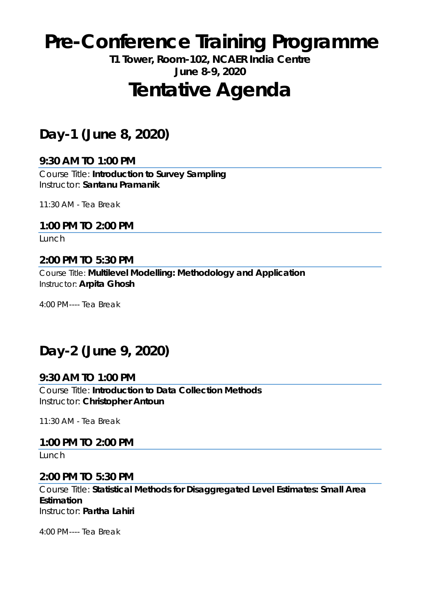# **Pre-Conference Training Programme**

**T1 Tower, Room-102, NCAER India Centre June 8-9, 2020**

# **Tentative Agenda**

# **Day-1 (June 8, 2020)**

### **9:30 AM TO 1:00 PM**

Course Title: **Introduction to Survey Sampling** Instructor: **Santanu Pramanik**

11:30 AM - Tea Break

### **1:00 PM TO 2:00 PM**

Lunch

### **2:00 PM TO 5:30 PM**

Course Title: **Multilevel Modelling: Methodology and Application** Instructor: **Arpita Ghosh**

4:00 PM---- Tea Break

# **Day-2 (June 9, 2020)**

### **9:30 AM TO 1:00 PM**

Course Title: **Introduction to Data Collection Methods** Instructor: **Christopher Antoun**

11:30 AM - Tea Break

### **1:00 PM TO 2:00 PM**

Lunch

### **2:00 PM TO 5:30 PM**

Course Title: **Statistical Methods for Disaggregated Level Estimates: Small Area Estimation** Instructor: **Partha Lahiri**

4:00 PM---- Tea Break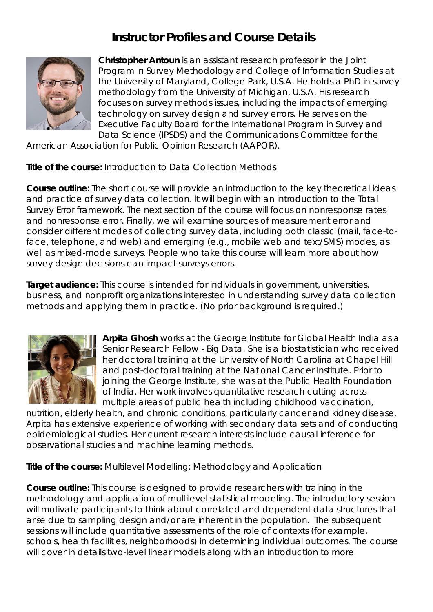### **Instructor Profiles and Course Details**



**Christopher Antoun** is an assistant research professor in the Joint Program in Survey Methodology and College of Information Studies at the University of Maryland, College Park, U.S.A. He holds a PhD in survey methodology from the University of Michigan, U.S.A. His research focuses on survey methods issues, including the impacts of emerging technology on survey design and survey errors. He serves on the Executive Faculty Board for the International Program in Survey and Data Science (IPSDS) and the Communications Committee for the

American Association for Public Opinion Research (AAPOR).

**Title of the course:** Introduction to Data Collection Methods

**Course outline:** The short course will provide an introduction to the key theoretical ideas and practice of survey data collection. It will begin with an introduction to the Total Survey Error framework. The next section of the course will focus on nonresponse rates and nonresponse error. Finally, we will examine sources of measurement error and consider different modes of collecting survey data, including both classic (mail, face-toface, telephone, and web) and emerging (e.g., mobile web and text/SMS) modes, as well as mixed-mode surveys. People who take this course will learn more about how survey design decisions can impact surveys errors.

**Target audience:** This course is intended for individuals in government, universities, business, and nonprofit organizations interested in understanding survey data collection methods and applying them in practice. (No prior background is required.)



**Arpita Ghosh** works at the George Institute for Global Health India as a Senior Research Fellow - Big Data. She is a biostatistician who received her doctoral training at the University of North Carolina at Chapel Hill and post-doctoral training at the National Cancer Institute. Prior to joining the George Institute, she was at the Public Health Foundation of India. Her work involves quantitative research cutting across multiple areas of public health including childhood vaccination,

nutrition, elderly health, and chronic conditions, particularly cancer and kidney disease. Arpita has extensive experience of working with secondary data sets and of conducting epidemiological studies. Her current research interests include causal inference for observational studies and machine learning methods.

**Title of the course:** Multilevel Modelling: Methodology and Application

**Course outline:** This course is designed to provide researchers with training in the methodology and application of multilevel statistical modeling. The introductory session will motivate participants to think about correlated and dependent data structures that arise due to sampling design and/or are inherent in the population. The subsequent sessions will include quantitative assessments of the role of contexts (for example, schools, health facilities, neighborhoods) in determining individual outcomes. The course will cover in details two-level linear models along with an introduction to more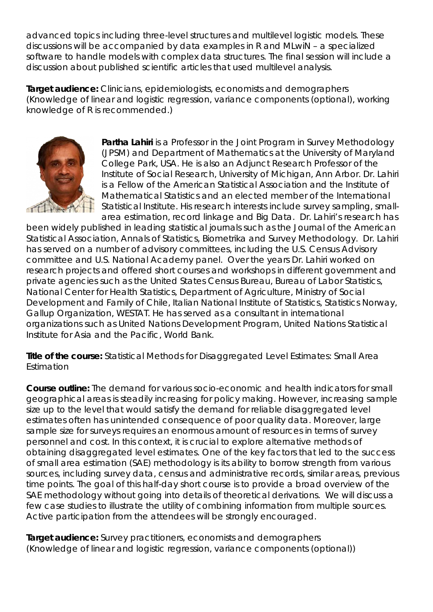advanced topics including three-level structures and multilevel logistic models. These discussions will be accompanied by data examples in R and MLwiN – a specialized software to handle models with complex data structures. The final session will include a discussion about published scientific articles that used multilevel analysis.

**Target audience:** Clinicians, epidemiologists, economists and demographers (Knowledge of linear and logistic regression, variance components (optional), working knowledge of R is recommended.)



**Partha Lahiri** is a Professor in the Joint Program in Survey Methodology (JPSM) and Department of Mathematics at the University of Maryland College Park, USA. He is also an Adjunct Research Professor of the Institute of Social Research, University of Michigan, Ann Arbor. Dr. Lahiri is a Fellow of the American Statistical Association and the Institute of Mathematical Statistics and an elected member of the International Statistical Institute. His research interests include survey sampling, smallarea estimation, record linkage and Big Data. Dr. Lahiri's research has

been widely published in leading statistical journals such as the Journal of the American Statistical Association, Annals of Statistics, Biometrika and Survey Methodology. Dr. Lahiri has served on a number of advisory committees, including the U.S. Census Advisory committee and U.S. National Academy panel. Over the years Dr. Lahiri worked on research projects and offered short courses and workshops in different government and private agencies such as the United States Census Bureau, Bureau of Labor Statistics, National Center for Health Statistics, Department of Agriculture, Ministry of Social Development and Family of Chile, Italian National Institute of Statistics, Statistics Norway, Gallup Organization, WESTAT. He has served as a consultant in international organizations such as United Nations Development Program, United Nations Statistical Institute for Asia and the Pacific, World Bank.

**Title of the course:** Statistical Methods for Disaggregated Level Estimates: Small Area Estimation

**Course outline:** The demand for various socio-economic and health indicators for small geographical areas is steadily increasing for policy making. However, increasing sample size up to the level that would satisfy the demand for reliable disaggregated level estimates often has unintended consequence of poor quality data. Moreover, large sample size for surveys requires an enormous amount of resources in terms of survey personnel and cost. In this context, it is crucial to explore alternative methods of obtaining disaggregated level estimates. One of the key factors that led to the success of small area estimation (SAE) methodology is its ability to borrow strength from various sources, including survey data, census and administrative records, similar areas, previous time points. The goal of this half-day short course is to provide a broad overview of the SAE methodology without going into details of theoretical derivations. We will discuss a few case studies to illustrate the utility of combining information from multiple sources. Active participation from the attendees will be strongly encouraged.

**Target audience:** Survey practitioners, economists and demographers (Knowledge of linear and logistic regression, variance components (optional))